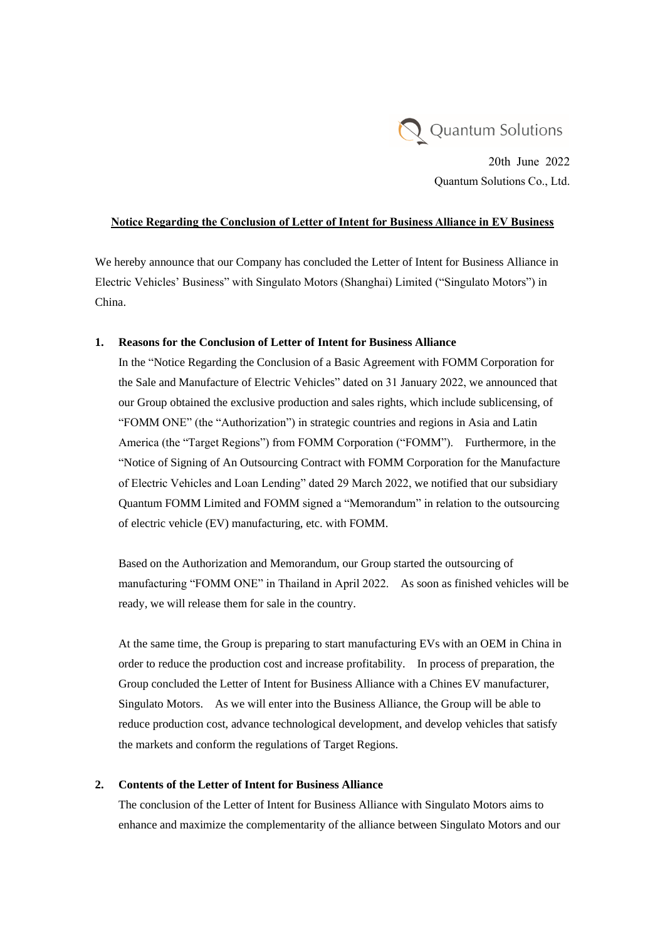

20th June 2022 Quantum Solutions Co., Ltd.

## **Notice Regarding the Conclusion of Letter of Intent for Business Alliance in EV Business**

We hereby announce that our Company has concluded the Letter of Intent for Business Alliance in Electric Vehicles' Business" with Singulato Motors (Shanghai) Limited ("Singulato Motors") in China.

## **1. Reasons for the Conclusion of Letter of Intent for Business Alliance**

In the "Notice Regarding the Conclusion of a Basic Agreement with FOMM Corporation for the Sale and Manufacture of Electric Vehicles" dated on 31 January 2022, we announced that our Group obtained the exclusive production and sales rights, which include sublicensing, of "FOMM ONE" (the "Authorization") in strategic countries and regions in Asia and Latin America (the "Target Regions") from FOMM Corporation ("FOMM"). Furthermore, in the "Notice of Signing of An Outsourcing Contract with FOMM Corporation for the Manufacture of Electric Vehicles and Loan Lending" dated 29 March 2022, we notified that our subsidiary Quantum FOMM Limited and FOMM signed a "Memorandum" in relation to the outsourcing of electric vehicle (EV) manufacturing, etc. with FOMM.

Based on the Authorization and Memorandum, our Group started the outsourcing of manufacturing "FOMM ONE" in Thailand in April 2022. As soon as finished vehicles will be ready, we will release them for sale in the country.

At the same time, the Group is preparing to start manufacturing EVs with an OEM in China in order to reduce the production cost and increase profitability. In process of preparation, the Group concluded the Letter of Intent for Business Alliance with a Chines EV manufacturer, Singulato Motors. As we will enter into the Business Alliance, the Group will be able to reduce production cost, advance technological development, and develop vehicles that satisfy the markets and conform the regulations of Target Regions.

## **2. Contents of the Letter of Intent for Business Alliance**

The conclusion of the Letter of Intent for Business Alliance with Singulato Motors aims to enhance and maximize the complementarity of the alliance between Singulato Motors and our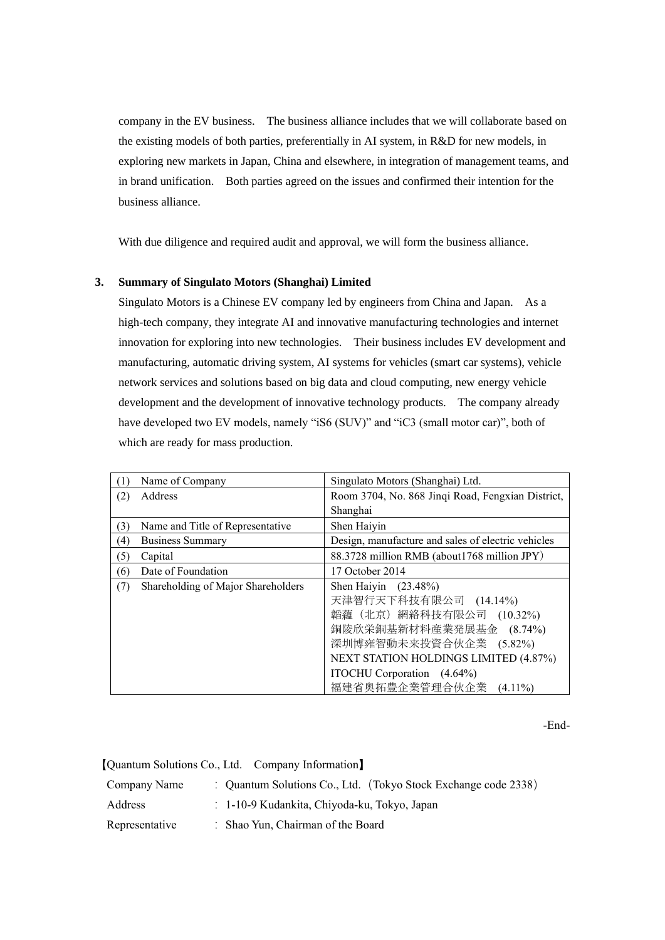company in the EV business. The business alliance includes that we will collaborate based on the existing models of both parties, preferentially in AI system, in R&D for new models, in exploring new markets in Japan, China and elsewhere, in integration of management teams, and in brand unification. Both parties agreed on the issues and confirmed their intention for the business alliance.

With due diligence and required audit and approval, we will form the business alliance.

## **3. Summary of Singulato Motors (Shanghai) Limited**

Singulato Motors is a Chinese EV company led by engineers from China and Japan. As a high-tech company, they integrate AI and innovative manufacturing technologies and internet innovation for exploring into new technologies. Their business includes EV development and manufacturing, automatic driving system, AI systems for vehicles (smart car systems), vehicle network services and solutions based on big data and cloud computing, new energy vehicle development and the development of innovative technology products. The company already have developed two EV models, namely "iS6 (SUV)" and "iC3 (small motor car)", both of which are ready for mass production.

| T                | Name of Company                    | Singulato Motors (Shanghai) Ltd.                   |
|------------------|------------------------------------|----------------------------------------------------|
| (2)              | Address                            | Room 3704, No. 868 Jinqi Road, Fengxian District,  |
|                  |                                    | Shanghai                                           |
| 3)               | Name and Title of Representative   | Shen Haiyin                                        |
| $\left(4\right)$ | <b>Business Summary</b>            | Design, manufacture and sales of electric vehicles |
| (5)              | Capital                            | 88.3728 million RMB (about1768 million JPY)        |
| (6)              | Date of Foundation                 | 17 October 2014                                    |
| (7)              | Shareholding of Major Shareholders | Shen Haiyin (23.48%)                               |
|                  |                                    | 天津智行天下科技有限公司 (14.14%)                              |
|                  |                                    | 韜蘊(北京)網絡科技有限公司 (10.32%)                            |
|                  |                                    | 銅陵欣栄銅基新材料産業発展基金 (8.74%)                            |
|                  |                                    | 深圳博雍智動未来投資合伙企業 (5.82%)                             |
|                  |                                    | <b>NEXT STATION HOLDINGS LIMITED (4.87%)</b>       |
|                  |                                    | ITOCHU Corporation (4.64%)                         |
|                  |                                    | 福建省奥拓豊企業管理合伙企業<br>$(4.11\%)$                       |

-End-

【Quantum Solutions Co., Ltd. Company Information**】**

| Company Name   | : Quantum Solutions Co., Ltd. (Tokyo Stock Exchange code 2338) |
|----------------|----------------------------------------------------------------|
| Address        | : 1-10-9 Kudankita, Chiyoda-ku, Tokyo, Japan                   |
| Representative | Shao Yun, Chairman of the Board                                |